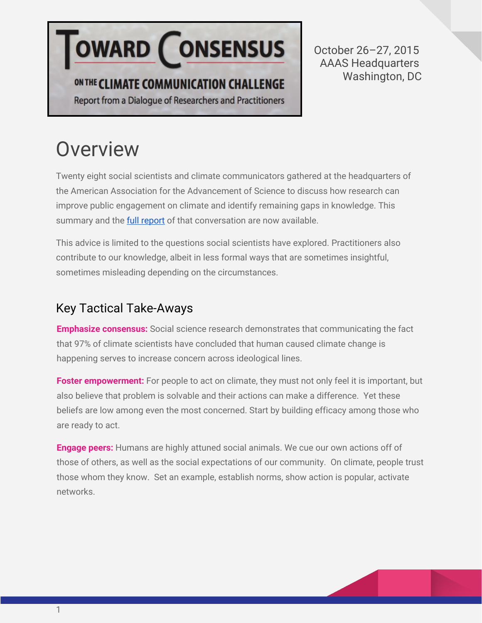# **OWARD CONSENSUS**

### ON THE CLIMATE COMMUNICATION CHALLENGE

Report from a Dialogue of Researchers and Practitioners

October 26–27, 2015 AAAS Headquarters Washington, DC

## **Overview**

Twenty eight social scientists and climate communicators gathered at the headquarters of the American Association for the Advancement of Science to discuss how research can improve public engagement on climate and identify remaining gaps in knowledge. This summary and the **full [report](http://www.climateaccess.org/resource/toward-consensus)** of that conversation are now available.

This advice is limited to the questions social scientists have explored. Practitioners also contribute to our knowledge, albeit in less formal ways that are sometimes insightful, sometimes misleading depending on the circumstances.

#### Key Tactical Take-Aways

**Emphasize consensus:** Social science research demonstrates that communicating the fact that 97% of climate scientists have concluded that human caused climate change is happening serves to increase concern across ideological lines.

**Foster empowerment:** For people to act on climate, they must not only feel it is important, but also believe that problem is solvable and their actions can make a difference. Yet these beliefs are low among even the most concerned. Start by building efficacy among those who are ready to act.

**Engage peers:**Humans are highly attuned social animals. We cue our own actions off of those of others, as well as the social expectations of our community. On climate, people trust those whom they know. Set an example, establish norms, show action is popular, activate networks.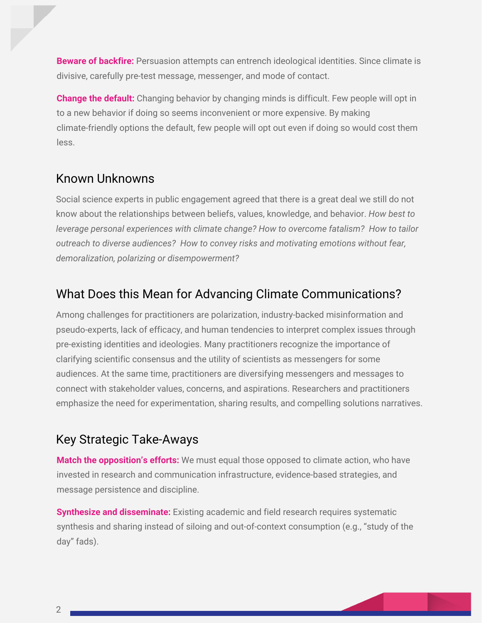**Beware of backfire:** Persuasion attempts can entrench ideological identities. Since climate is divisive, carefully pre-test message, messenger, and mode of contact.

**Change the default:**Changing behavior by changing minds is difficult. Few people will opt in to a new behavior if doing so seems inconvenient or more expensive. By making climate-friendly options the default, few people will opt out even if doing so would cost them less.

#### Known Unknowns

Social science experts in public engagement agreed that there is a great deal we still do not know about the relationships between beliefs, values, knowledge, and behavior. *How best to leverage personal experiences with climate change? How to overcome fatalism? How to tailor outreach to diverse audiences? How to convey risks and motivating emotions without fear, demoralization, polarizing or disempowerment?*

#### What Does this Mean for Advancing Climate Communications?

Among challenges for practitioners are polarization, industry-backed misinformation and pseudo-experts, lack of efficacy, and human tendencies to interpret complex issues through pre-existing identities and ideologies. Many practitioners recognize the importance of clarifying scientific consensus and the utility of scientists as messengers for some audiences. At the same time, practitioners are diversifying messengers and messages to connect with stakeholder values, concerns, and aspirations. Researchers and practitioners emphasize the need for experimentation, sharing results, and compelling solutions narratives.

#### Key Strategic Take-Aways

**Match the opposition's efforts:**We must equal those opposed to climate action, who have invested in research and communication infrastructure, evidence-based strategies, and message persistence and discipline.

**Synthesize and disseminate:**Existing academic and field research requires systematic synthesis and sharing instead of siloing and out-of-context consumption (e.g., "study of the day" fads).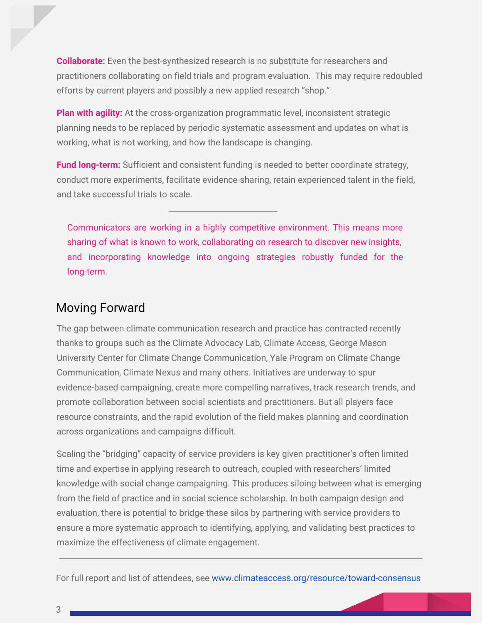**Collaborate:**Even the best-synthesized research is no substitute for researchers and practitioners collaborating on field trials and program evaluation. This may require redoubled efforts by current players and possibly a new applied research "shop."

**Plan with agility:**At the cross-organization programmatic level, inconsistent strategic planning needs to be replaced by periodic systematic assessment and updates on what is working, what is not working, and how the landscape is changing.

**Fund long-term:** Sufficient and consistent funding is needed to better coordinate strategy, conduct more experiments, facilitate evidence-sharing, retain experienced talent in the field, and take successful trials to scale.

Communicators are working in a highly competitive environment. This means more sharing of what is known to work, collaborating on research to discover new insights, and incorporating knowledge into ongoing strategies robustly funded for the long-term.

#### Moving Forward

The gap between climate communication research and practice has contracted recently thanks to groups such as the Climate Advocacy Lab, Climate Access, George Mason University Center for Climate Change Communication, Yale Program on Climate Change Communication, Climate Nexus and many others. Initiatives are underway to spur evidence-based campaigning, create more compelling narratives, track research trends, and promote collaboration between social scientists and practitioners. But all players face resource constraints, and the rapid evolution of the field makes planning and coordination across organizations and campaigns difficult.

Scaling the "bridging" capacity of service providers is key given practitioner's often limited time and expertise in applying research to outreach, coupled with researchers' limited knowledge with social change campaigning. This produces siloing between what is emerging from the field of practice and in social science scholarship. In both campaign design and evaluation, there is potential to bridge these silos by partnering with service providers to ensure a more systematic approach to identifying, applying, and validating best practices to maximize the effectiveness of climate engagement.

For full report and list of attendees, see [www.climateaccess.org/resource/toward-consensus](http://www.climateaccess.org/resource/toward-consensus)